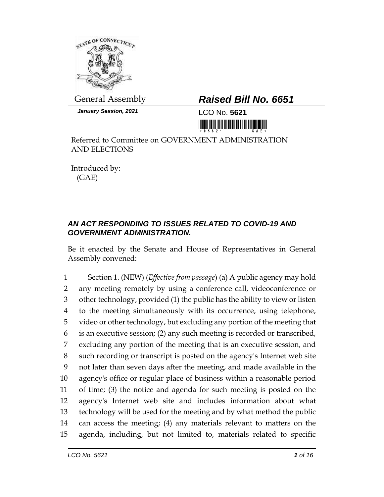

*January Session, 2021* LCO No. **5621**

## General Assembly *Raised Bill No. 6651*

<u> 1999 - Johann Barbara, martin b</u>

Referred to Committee on GOVERNMENT ADMINISTRATION AND ELECTIONS

Introduced by: (GAE)

## *AN ACT RESPONDING TO ISSUES RELATED TO COVID-19 AND GOVERNMENT ADMINISTRATION.*

Be it enacted by the Senate and House of Representatives in General Assembly convened:

 Section 1. (NEW) (*Effective from passage*) (a) A public agency may hold any meeting remotely by using a conference call, videoconference or other technology, provided (1) the public has the ability to view or listen to the meeting simultaneously with its occurrence, using telephone, video or other technology, but excluding any portion of the meeting that is an executive session; (2) any such meeting is recorded or transcribed, excluding any portion of the meeting that is an executive session, and such recording or transcript is posted on the agency's Internet web site not later than seven days after the meeting, and made available in the agency's office or regular place of business within a reasonable period of time; (3) the notice and agenda for such meeting is posted on the agency's Internet web site and includes information about what technology will be used for the meeting and by what method the public can access the meeting; (4) any materials relevant to matters on the agenda, including, but not limited to, materials related to specific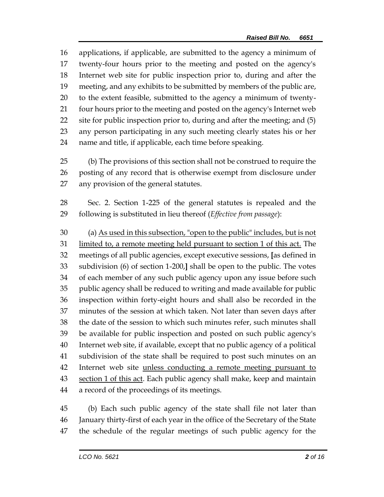applications, if applicable, are submitted to the agency a minimum of twenty-four hours prior to the meeting and posted on the agency's Internet web site for public inspection prior to, during and after the meeting, and any exhibits to be submitted by members of the public are, to the extent feasible, submitted to the agency a minimum of twenty-21 four hours prior to the meeting and posted on the agency's Internet web site for public inspection prior to, during and after the meeting; and (5) any person participating in any such meeting clearly states his or her name and title, if applicable, each time before speaking.

 (b) The provisions of this section shall not be construed to require the posting of any record that is otherwise exempt from disclosure under any provision of the general statutes.

 Sec. 2. Section 1-225 of the general statutes is repealed and the following is substituted in lieu thereof (*Effective from passage*):

 (a) As used in this subsection, "open to the public" includes, but is not limited to, a remote meeting held pursuant to section 1 of this act. The meetings of all public agencies, except executive sessions, **[**as defined in subdivision (6) of section 1-200,**]** shall be open to the public. The votes of each member of any such public agency upon any issue before such public agency shall be reduced to writing and made available for public inspection within forty-eight hours and shall also be recorded in the minutes of the session at which taken. Not later than seven days after the date of the session to which such minutes refer, such minutes shall be available for public inspection and posted on such public agency's Internet web site, if available, except that no public agency of a political subdivision of the state shall be required to post such minutes on an 42 Internet web site unless conducting a remote meeting pursuant to 43 section 1 of this act. Each public agency shall make, keep and maintain a record of the proceedings of its meetings.

 (b) Each such public agency of the state shall file not later than January thirty-first of each year in the office of the Secretary of the State the schedule of the regular meetings of such public agency for the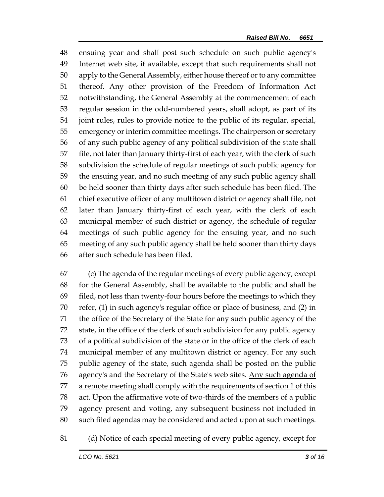ensuing year and shall post such schedule on such public agency's Internet web site, if available, except that such requirements shall not apply to the General Assembly, either house thereof or to any committee thereof. Any other provision of the Freedom of Information Act notwithstanding, the General Assembly at the commencement of each regular session in the odd-numbered years, shall adopt, as part of its joint rules, rules to provide notice to the public of its regular, special, emergency or interim committee meetings. The chairperson or secretary of any such public agency of any political subdivision of the state shall file, not later than January thirty-first of each year, with the clerk of such subdivision the schedule of regular meetings of such public agency for the ensuing year, and no such meeting of any such public agency shall be held sooner than thirty days after such schedule has been filed. The chief executive officer of any multitown district or agency shall file, not later than January thirty-first of each year, with the clerk of each municipal member of such district or agency, the schedule of regular meetings of such public agency for the ensuing year, and no such meeting of any such public agency shall be held sooner than thirty days after such schedule has been filed.

 (c) The agenda of the regular meetings of every public agency, except for the General Assembly, shall be available to the public and shall be filed, not less than twenty-four hours before the meetings to which they refer, (1) in such agency's regular office or place of business, and (2) in the office of the Secretary of the State for any such public agency of the state, in the office of the clerk of such subdivision for any public agency of a political subdivision of the state or in the office of the clerk of each municipal member of any multitown district or agency. For any such public agency of the state, such agenda shall be posted on the public 76 agency's and the Secretary of the State's web sites. Any such agenda of 77 a remote meeting shall comply with the requirements of section 1 of this act. Upon the affirmative vote of two-thirds of the members of a public agency present and voting, any subsequent business not included in such filed agendas may be considered and acted upon at such meetings.

(d) Notice of each special meeting of every public agency, except for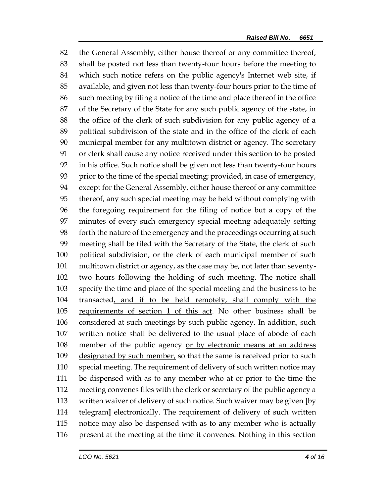the General Assembly, either house thereof or any committee thereof, shall be posted not less than twenty-four hours before the meeting to which such notice refers on the public agency's Internet web site, if available, and given not less than twenty-four hours prior to the time of such meeting by filing a notice of the time and place thereof in the office of the Secretary of the State for any such public agency of the state, in the office of the clerk of such subdivision for any public agency of a political subdivision of the state and in the office of the clerk of each municipal member for any multitown district or agency. The secretary or clerk shall cause any notice received under this section to be posted in his office. Such notice shall be given not less than twenty-four hours prior to the time of the special meeting; provided, in case of emergency, except for the General Assembly, either house thereof or any committee thereof, any such special meeting may be held without complying with the foregoing requirement for the filing of notice but a copy of the minutes of every such emergency special meeting adequately setting forth the nature of the emergency and the proceedings occurring at such meeting shall be filed with the Secretary of the State, the clerk of such political subdivision, or the clerk of each municipal member of such multitown district or agency, as the case may be, not later than seventy- two hours following the holding of such meeting. The notice shall specify the time and place of the special meeting and the business to be transacted, and if to be held remotely, shall comply with the requirements of section 1 of this act. No other business shall be considered at such meetings by such public agency. In addition, such written notice shall be delivered to the usual place of abode of each member of the public agency or by electronic means at an address designated by such member, so that the same is received prior to such special meeting. The requirement of delivery of such written notice may be dispensed with as to any member who at or prior to the time the meeting convenes files with the clerk or secretary of the public agency a written waiver of delivery of such notice. Such waiver may be given **[**by telegram**]** electronically. The requirement of delivery of such written notice may also be dispensed with as to any member who is actually present at the meeting at the time it convenes. Nothing in this section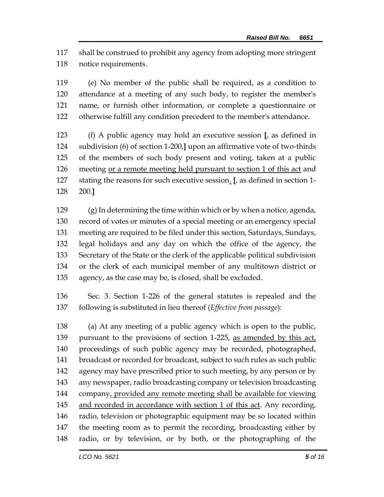shall be construed to prohibit any agency from adopting more stringent notice requirements.

 (e) No member of the public shall be required, as a condition to attendance at a meeting of any such body, to register the member's name, or furnish other information, or complete a questionnaire or otherwise fulfill any condition precedent to the member's attendance.

 (f) A public agency may hold an executive session **[**, as defined in subdivision (6) of section 1-200,**]** upon an affirmative vote of two-thirds of the members of such body present and voting, taken at a public meeting or a remote meeting held pursuant to section 1 of this act and stating the reasons for such executive session. **[**, as defined in section 1- 200.**]**

 (g) In determining the time within which or by when a notice, agenda, record of votes or minutes of a special meeting or an emergency special meeting are required to be filed under this section, Saturdays, Sundays, legal holidays and any day on which the office of the agency, the Secretary of the State or the clerk of the applicable political subdivision or the clerk of each municipal member of any multitown district or agency, as the case may be, is closed, shall be excluded.

 Sec. 3. Section 1-226 of the general statutes is repealed and the following is substituted in lieu thereof (*Effective from passage*):

 (a) At any meeting of a public agency which is open to the public, 139 pursuant to the provisions of section 1-225, as amended by this act, proceedings of such public agency may be recorded, photographed, broadcast or recorded for broadcast, subject to such rules as such public 142 agency may have prescribed prior to such meeting, by any person or by any newspaper, radio broadcasting company or television broadcasting company, provided any remote meeting shall be available for viewing 145 and recorded in accordance with section 1 of this act. Any recording, radio, television or photographic equipment may be so located within the meeting room as to permit the recording, broadcasting either by radio, or by television, or by both, or the photographing of the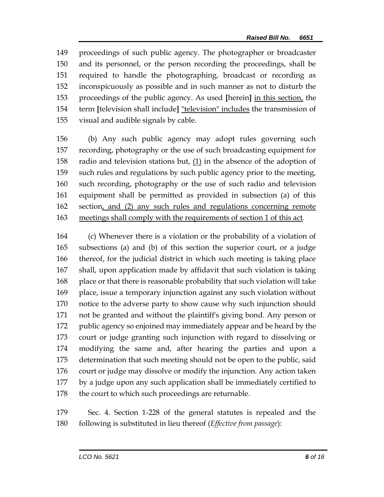proceedings of such public agency. The photographer or broadcaster and its personnel, or the person recording the proceedings, shall be required to handle the photographing, broadcast or recording as inconspicuously as possible and in such manner as not to disturb the proceedings of the public agency. As used **[**herein**]** in this section, the term **[**television shall include**]** "television" includes the transmission of visual and audible signals by cable.

 (b) Any such public agency may adopt rules governing such recording, photography or the use of such broadcasting equipment for 158 radio and television stations but,  $(1)$  in the absence of the adoption of such rules and regulations by such public agency prior to the meeting, such recording, photography or the use of such radio and television equipment shall be permitted as provided in subsection (a) of this section, and (2) any such rules and regulations concerning remote meetings shall comply with the requirements of section 1 of this act.

 (c) Whenever there is a violation or the probability of a violation of subsections (a) and (b) of this section the superior court, or a judge thereof, for the judicial district in which such meeting is taking place shall, upon application made by affidavit that such violation is taking place or that there is reasonable probability that such violation will take place, issue a temporary injunction against any such violation without notice to the adverse party to show cause why such injunction should not be granted and without the plaintiff's giving bond. Any person or public agency so enjoined may immediately appear and be heard by the court or judge granting such injunction with regard to dissolving or modifying the same and, after hearing the parties and upon a determination that such meeting should not be open to the public, said court or judge may dissolve or modify the injunction. Any action taken by a judge upon any such application shall be immediately certified to 178 the court to which such proceedings are returnable.

 Sec. 4. Section 1-228 of the general statutes is repealed and the following is substituted in lieu thereof (*Effective from passage*):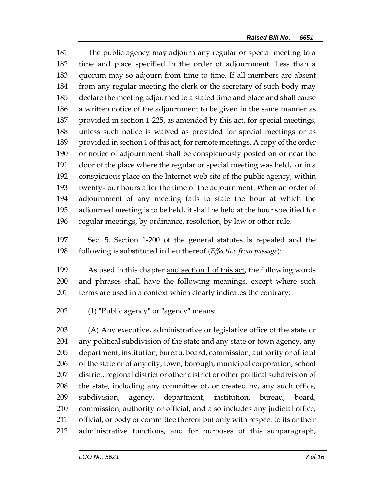The public agency may adjourn any regular or special meeting to a time and place specified in the order of adjournment. Less than a quorum may so adjourn from time to time. If all members are absent from any regular meeting the clerk or the secretary of such body may declare the meeting adjourned to a stated time and place and shall cause a written notice of the adjournment to be given in the same manner as 187 provided in section 1-225, as amended by this act, for special meetings, unless such notice is waived as provided for special meetings or as provided in section 1 of this act, for remote meetings. A copy of the order or notice of adjournment shall be conspicuously posted on or near the 191 door of the place where the regular or special meeting was held, or in a 192 conspicuous place on the Internet web site of the public agency, within twenty-four hours after the time of the adjournment. When an order of adjournment of any meeting fails to state the hour at which the adjourned meeting is to be held, it shall be held at the hour specified for regular meetings, by ordinance, resolution, by law or other rule.

 Sec. 5. Section 1-200 of the general statutes is repealed and the following is substituted in lieu thereof (*Effective from passage*):

 As used in this chapter and section 1 of this act, the following words and phrases shall have the following meanings, except where such terms are used in a context which clearly indicates the contrary:

(1) "Public agency" or "agency" means:

 (A) Any executive, administrative or legislative office of the state or any political subdivision of the state and any state or town agency, any department, institution, bureau, board, commission, authority or official of the state or of any city, town, borough, municipal corporation, school district, regional district or other district or other political subdivision of the state, including any committee of, or created by, any such office, subdivision, agency, department, institution, bureau, board, commission, authority or official, and also includes any judicial office, official, or body or committee thereof but only with respect to its or their administrative functions, and for purposes of this subparagraph,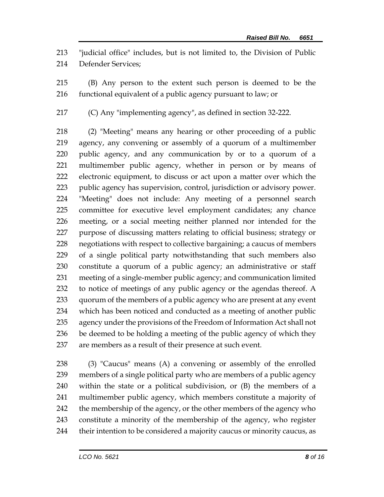"judicial office" includes, but is not limited to, the Division of Public Defender Services;

 (B) Any person to the extent such person is deemed to be the functional equivalent of a public agency pursuant to law; or

(C) Any "implementing agency", as defined in section 32-222.

 (2) "Meeting" means any hearing or other proceeding of a public agency, any convening or assembly of a quorum of a multimember public agency, and any communication by or to a quorum of a multimember public agency, whether in person or by means of electronic equipment, to discuss or act upon a matter over which the public agency has supervision, control, jurisdiction or advisory power. "Meeting" does not include: Any meeting of a personnel search committee for executive level employment candidates; any chance meeting, or a social meeting neither planned nor intended for the purpose of discussing matters relating to official business; strategy or negotiations with respect to collective bargaining; a caucus of members of a single political party notwithstanding that such members also constitute a quorum of a public agency; an administrative or staff meeting of a single-member public agency; and communication limited to notice of meetings of any public agency or the agendas thereof. A quorum of the members of a public agency who are present at any event which has been noticed and conducted as a meeting of another public agency under the provisions of the Freedom of Information Act shall not be deemed to be holding a meeting of the public agency of which they are members as a result of their presence at such event.

 (3) "Caucus" means (A) a convening or assembly of the enrolled members of a single political party who are members of a public agency within the state or a political subdivision, or (B) the members of a multimember public agency, which members constitute a majority of 242 the membership of the agency, or the other members of the agency who constitute a minority of the membership of the agency, who register their intention to be considered a majority caucus or minority caucus, as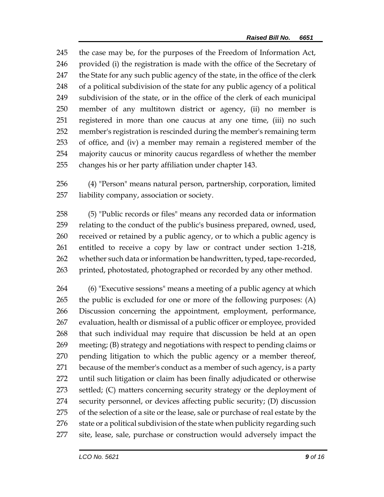the case may be, for the purposes of the Freedom of Information Act, provided (i) the registration is made with the office of the Secretary of 247 the State for any such public agency of the state, in the office of the clerk of a political subdivision of the state for any public agency of a political subdivision of the state, or in the office of the clerk of each municipal member of any multitown district or agency, (ii) no member is registered in more than one caucus at any one time, (iii) no such member's registration is rescinded during the member's remaining term of office, and (iv) a member may remain a registered member of the majority caucus or minority caucus regardless of whether the member changes his or her party affiliation under chapter 143.

 (4) "Person" means natural person, partnership, corporation, limited liability company, association or society.

 (5) "Public records or files" means any recorded data or information relating to the conduct of the public's business prepared, owned, used, received or retained by a public agency, or to which a public agency is entitled to receive a copy by law or contract under section 1-218, whether such data or information be handwritten, typed, tape-recorded, 263 printed, photostated, photographed or recorded by any other method.

 (6) "Executive sessions" means a meeting of a public agency at which the public is excluded for one or more of the following purposes: (A) Discussion concerning the appointment, employment, performance, evaluation, health or dismissal of a public officer or employee, provided that such individual may require that discussion be held at an open meeting; (B) strategy and negotiations with respect to pending claims or pending litigation to which the public agency or a member thereof, because of the member's conduct as a member of such agency, is a party until such litigation or claim has been finally adjudicated or otherwise 273 settled; (C) matters concerning security strategy or the deployment of security personnel, or devices affecting public security; (D) discussion of the selection of a site or the lease, sale or purchase of real estate by the 276 state or a political subdivision of the state when publicity regarding such 277 site, lease, sale, purchase or construction would adversely impact the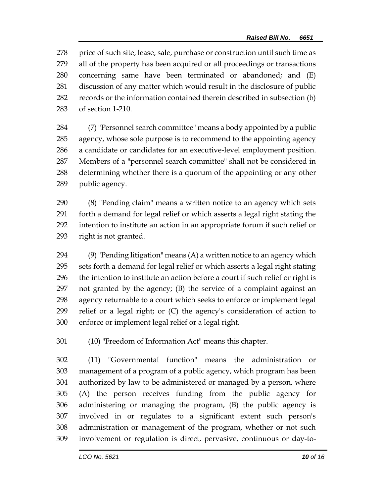278 price of such site, lease, sale, purchase or construction until such time as all of the property has been acquired or all proceedings or transactions concerning same have been terminated or abandoned; and (E) discussion of any matter which would result in the disclosure of public records or the information contained therein described in subsection (b) of section 1-210.

 (7) "Personnel search committee" means a body appointed by a public agency, whose sole purpose is to recommend to the appointing agency a candidate or candidates for an executive-level employment position. Members of a "personnel search committee" shall not be considered in determining whether there is a quorum of the appointing or any other public agency.

 (8) "Pending claim" means a written notice to an agency which sets forth a demand for legal relief or which asserts a legal right stating the intention to institute an action in an appropriate forum if such relief or right is not granted.

 $(9)$  "Pending litigation" means  $(A)$  a written notice to an agency which sets forth a demand for legal relief or which asserts a legal right stating the intention to institute an action before a court if such relief or right is not granted by the agency; (B) the service of a complaint against an agency returnable to a court which seeks to enforce or implement legal relief or a legal right; or (C) the agency's consideration of action to enforce or implement legal relief or a legal right.

(10) "Freedom of Information Act" means this chapter.

 (11) "Governmental function" means the administration or management of a program of a public agency, which program has been authorized by law to be administered or managed by a person, where (A) the person receives funding from the public agency for administering or managing the program, (B) the public agency is involved in or regulates to a significant extent such person's administration or management of the program, whether or not such involvement or regulation is direct, pervasive, continuous or day-to-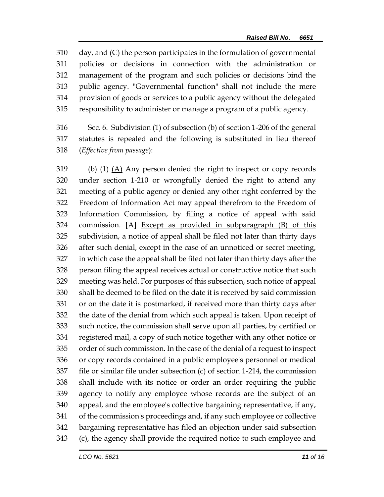day, and (C) the person participates in the formulation of governmental policies or decisions in connection with the administration or management of the program and such policies or decisions bind the public agency. "Governmental function" shall not include the mere provision of goods or services to a public agency without the delegated responsibility to administer or manage a program of a public agency.

 Sec. 6. Subdivision (1) of subsection (b) of section 1-206 of the general statutes is repealed and the following is substituted in lieu thereof (*Effective from passage*):

 (b) (1) (A) Any person denied the right to inspect or copy records under section 1-210 or wrongfully denied the right to attend any meeting of a public agency or denied any other right conferred by the Freedom of Information Act may appeal therefrom to the Freedom of Information Commission, by filing a notice of appeal with said commission. **[**A**]** Except as provided in subparagraph (B) of this subdivision, a notice of appeal shall be filed not later than thirty days after such denial, except in the case of an unnoticed or secret meeting, in which case the appeal shall be filed not later than thirty days after the person filing the appeal receives actual or constructive notice that such meeting was held. For purposes of this subsection, such notice of appeal shall be deemed to be filed on the date it is received by said commission or on the date it is postmarked, if received more than thirty days after the date of the denial from which such appeal is taken. Upon receipt of such notice, the commission shall serve upon all parties, by certified or registered mail, a copy of such notice together with any other notice or order of such commission. In the case of the denial of a request to inspect or copy records contained in a public employee's personnel or medical file or similar file under subsection (c) of section 1-214, the commission shall include with its notice or order an order requiring the public agency to notify any employee whose records are the subject of an appeal, and the employee's collective bargaining representative, if any, of the commission's proceedings and, if any such employee or collective bargaining representative has filed an objection under said subsection (c), the agency shall provide the required notice to such employee and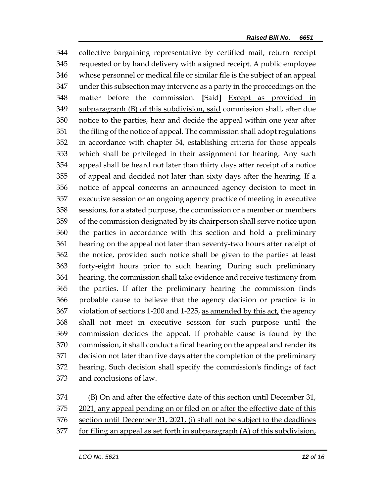collective bargaining representative by certified mail, return receipt requested or by hand delivery with a signed receipt. A public employee whose personnel or medical file or similar file is the subject of an appeal under this subsection may intervene as a party in the proceedings on the matter before the commission. **[**Said**]** Except as provided in subparagraph (B) of this subdivision, said commission shall, after due notice to the parties, hear and decide the appeal within one year after the filing of the notice of appeal. The commission shall adopt regulations in accordance with chapter 54, establishing criteria for those appeals which shall be privileged in their assignment for hearing. Any such appeal shall be heard not later than thirty days after receipt of a notice of appeal and decided not later than sixty days after the hearing. If a notice of appeal concerns an announced agency decision to meet in executive session or an ongoing agency practice of meeting in executive sessions, for a stated purpose, the commission or a member or members of the commission designated by its chairperson shall serve notice upon the parties in accordance with this section and hold a preliminary hearing on the appeal not later than seventy-two hours after receipt of the notice, provided such notice shall be given to the parties at least forty-eight hours prior to such hearing. During such preliminary hearing, the commission shall take evidence and receive testimony from the parties. If after the preliminary hearing the commission finds probable cause to believe that the agency decision or practice is in violation of sections 1-200 and 1-225, as amended by this act, the agency shall not meet in executive session for such purpose until the commission decides the appeal. If probable cause is found by the commission, it shall conduct a final hearing on the appeal and render its decision not later than five days after the completion of the preliminary hearing. Such decision shall specify the commission's findings of fact and conclusions of law.

- (B) On and after the effective date of this section until December 31,
- 2021, any appeal pending on or filed on or after the effective date of this
- section until December 31, 2021, (i) shall not be subject to the deadlines
- 377 for filing an appeal as set forth in subparagraph (A) of this subdivision,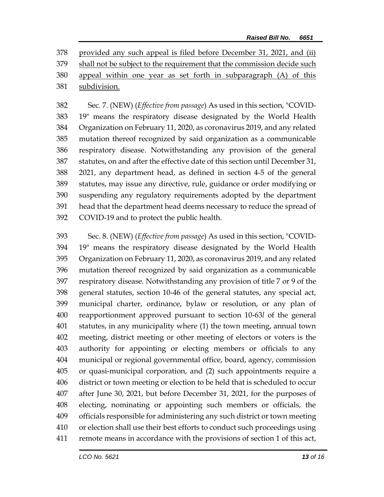provided any such appeal is filed before December 31, 2021, and (ii) shall not be subject to the requirement that the commission decide such appeal within one year as set forth in subparagraph (A) of this subdivision.

 Sec. 7. (NEW) (*Effective from passage*) As used in this section, "COVID- 19" means the respiratory disease designated by the World Health Organization on February 11, 2020, as coronavirus 2019, and any related mutation thereof recognized by said organization as a communicable respiratory disease. Notwithstanding any provision of the general statutes, on and after the effective date of this section until December 31, 2021, any department head, as defined in section 4-5 of the general statutes, may issue any directive, rule, guidance or order modifying or suspending any regulatory requirements adopted by the department head that the department head deems necessary to reduce the spread of COVID-19 and to protect the public health.

 Sec. 8. (NEW) (*Effective from passage*) As used in this section, "COVID- 19" means the respiratory disease designated by the World Health Organization on February 11, 2020, as coronavirus 2019, and any related mutation thereof recognized by said organization as a communicable respiratory disease. Notwithstanding any provision of title 7 or 9 of the general statutes, section 10-46 of the general statutes, any special act, municipal charter, ordinance, bylaw or resolution, or any plan of reapportionment approved pursuant to section 10-63*l* of the general statutes, in any municipality where (1) the town meeting, annual town meeting, district meeting or other meeting of electors or voters is the authority for appointing or electing members or officials to any municipal or regional governmental office, board, agency, commission or quasi-municipal corporation, and (2) such appointments require a district or town meeting or election to be held that is scheduled to occur after June 30, 2021, but before December 31, 2021, for the purposes of electing, nominating or appointing such members or officials, the officials responsible for administering any such district or town meeting or election shall use their best efforts to conduct such proceedings using remote means in accordance with the provisions of section 1 of this act,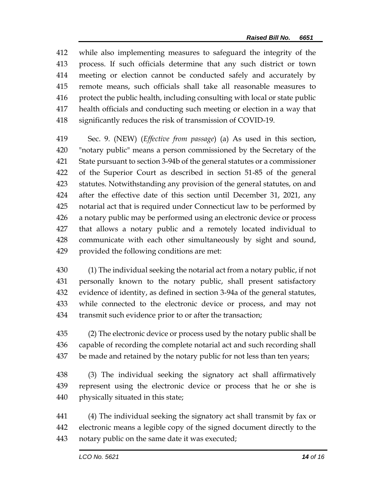while also implementing measures to safeguard the integrity of the process. If such officials determine that any such district or town meeting or election cannot be conducted safely and accurately by remote means, such officials shall take all reasonable measures to protect the public health, including consulting with local or state public health officials and conducting such meeting or election in a way that significantly reduces the risk of transmission of COVID-19.

 Sec. 9. (NEW) (*Effective from passage*) (a) As used in this section, "notary public" means a person commissioned by the Secretary of the State pursuant to section 3-94b of the general statutes or a commissioner of the Superior Court as described in section 51-85 of the general statutes. Notwithstanding any provision of the general statutes, on and after the effective date of this section until December 31, 2021, any notarial act that is required under Connecticut law to be performed by a notary public may be performed using an electronic device or process that allows a notary public and a remotely located individual to communicate with each other simultaneously by sight and sound, provided the following conditions are met:

 (1) The individual seeking the notarial act from a notary public, if not personally known to the notary public, shall present satisfactory evidence of identity, as defined in section 3-94a of the general statutes, while connected to the electronic device or process, and may not transmit such evidence prior to or after the transaction;

 (2) The electronic device or process used by the notary public shall be capable of recording the complete notarial act and such recording shall 437 be made and retained by the notary public for not less than ten years;

 (3) The individual seeking the signatory act shall affirmatively represent using the electronic device or process that he or she is physically situated in this state;

 (4) The individual seeking the signatory act shall transmit by fax or electronic means a legible copy of the signed document directly to the notary public on the same date it was executed;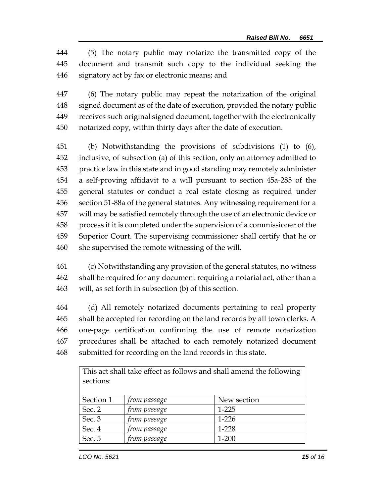(5) The notary public may notarize the transmitted copy of the document and transmit such copy to the individual seeking the signatory act by fax or electronic means; and

 (6) The notary public may repeat the notarization of the original signed document as of the date of execution, provided the notary public receives such original signed document, together with the electronically notarized copy, within thirty days after the date of execution.

 (b) Notwithstanding the provisions of subdivisions (1) to (6), inclusive, of subsection (a) of this section, only an attorney admitted to practice law in this state and in good standing may remotely administer a self-proving affidavit to a will pursuant to section 45a-285 of the general statutes or conduct a real estate closing as required under section 51-88a of the general statutes. Any witnessing requirement for a will may be satisfied remotely through the use of an electronic device or process if it is completed under the supervision of a commissioner of the Superior Court. The supervising commissioner shall certify that he or she supervised the remote witnessing of the will.

 (c) Notwithstanding any provision of the general statutes, no witness shall be required for any document requiring a notarial act, other than a will, as set forth in subsection (b) of this section.

 (d) All remotely notarized documents pertaining to real property shall be accepted for recording on the land records by all town clerks. A one-page certification confirming the use of remote notarization procedures shall be attached to each remotely notarized document submitted for recording on the land records in this state.

| This act shall take effect as follows and shall amend the following |              |             |  |
|---------------------------------------------------------------------|--------------|-------------|--|
| sections:                                                           |              |             |  |
|                                                                     |              |             |  |
| Section 1                                                           | from passage | New section |  |
| Sec. 2                                                              | from passage | $1 - 225$   |  |
| Sec. 3                                                              | from passage | $1-226$     |  |
| Sec. 4                                                              | from passage | 1-228       |  |
| Sec. 5                                                              | from passage | $1 - 200$   |  |